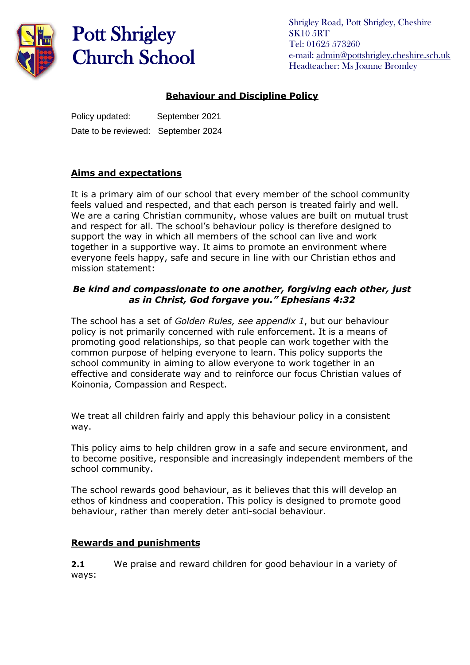

Shrigley Road, Pott Shrigley, Cheshire SK10 5RT Tel: 01625 573260 e-mail: [admin@pottshrigley.cheshire.sch.uk](mailto:admin@pottshrigley.cheshire.sch.uk) Headteacher: Ms Joanne Bromley

#### **Behaviour and Discipline Policy**

Policy updated: September 2021 Date to be reviewed: September 2024

## **Aims and expectations**

It is a primary aim of our school that every member of the school community feels valued and respected, and that each person is treated fairly and well. We are a caring Christian community, whose values are built on mutual trust and respect for all. The school's behaviour policy is therefore designed to support the way in which all members of the school can live and work together in a supportive way. It aims to promote an environment where everyone feels happy, safe and secure in line with our Christian ethos and mission statement:

#### *Be kind and compassionate to one another, forgiving each other, just as in Christ, God forgave you." Ephesians 4:32*

The school has a set of *Golden Rules, see appendix 1*, but our behaviour policy is not primarily concerned with rule enforcement. It is a means of promoting good relationships, so that people can work together with the common purpose of helping everyone to learn. This policy supports the school community in aiming to allow everyone to work together in an effective and considerate way and to reinforce our focus Christian values of Koinonia, Compassion and Respect.

We treat all children fairly and apply this behaviour policy in a consistent way.

This policy aims to help children grow in a safe and secure environment, and to become positive, responsible and increasingly independent members of the school community.

The school rewards good behaviour, as it believes that this will develop an ethos of kindness and cooperation. This policy is designed to promote good behaviour, rather than merely deter anti-social behaviour.

#### **Rewards and punishments**

**2.1** We praise and reward children for good behaviour in a variety of ways: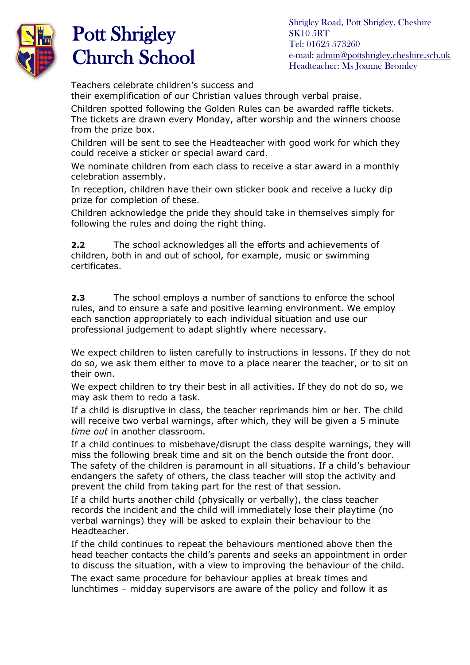

Shrigley Road, Pott Shrigley, Cheshire SK10 5RT Tel: 01625 573260 e-mail: [admin@pottshrigley.cheshire.sch.uk](mailto:admin@pottshrigley.cheshire.sch.uk) Headteacher: Ms Joanne Bromley

Teachers celebrate children's success and

their exemplification of our Christian values through verbal praise.

Children spotted following the Golden Rules can be awarded raffle tickets. The tickets are drawn every Monday, after worship and the winners choose from the prize box.

Children will be sent to see the Headteacher with good work for which they could receive a sticker or special award card.

We nominate children from each class to receive a star award in a monthly celebration assembly.

In reception, children have their own sticker book and receive a lucky dip prize for completion of these.

Children acknowledge the pride they should take in themselves simply for following the rules and doing the right thing.

**2.2** The school acknowledges all the efforts and achievements of children, both in and out of school, for example, music or swimming certificates.

**2.3** The school employs a number of sanctions to enforce the school rules, and to ensure a safe and positive learning environment. We employ each sanction appropriately to each individual situation and use our professional judgement to adapt slightly where necessary.

We expect children to listen carefully to instructions in lessons. If they do not do so, we ask them either to move to a place nearer the teacher, or to sit on their own.

We expect children to try their best in all activities. If they do not do so, we may ask them to redo a task.

If a child is disruptive in class, the teacher reprimands him or her. The child will receive two verbal warnings, after which, they will be given a 5 minute *time out* in another classroom.

If a child continues to misbehave/disrupt the class despite warnings, they will miss the following break time and sit on the bench outside the front door. The safety of the children is paramount in all situations. If a child's behaviour endangers the safety of others, the class teacher will stop the activity and prevent the child from taking part for the rest of that session.

If a child hurts another child (physically or verbally), the class teacher records the incident and the child will immediately lose their playtime (no verbal warnings) they will be asked to explain their behaviour to the Headteacher.

If the child continues to repeat the behaviours mentioned above then the head teacher contacts the child's parents and seeks an appointment in order to discuss the situation, with a view to improving the behaviour of the child.

The exact same procedure for behaviour applies at break times and lunchtimes – midday supervisors are aware of the policy and follow it as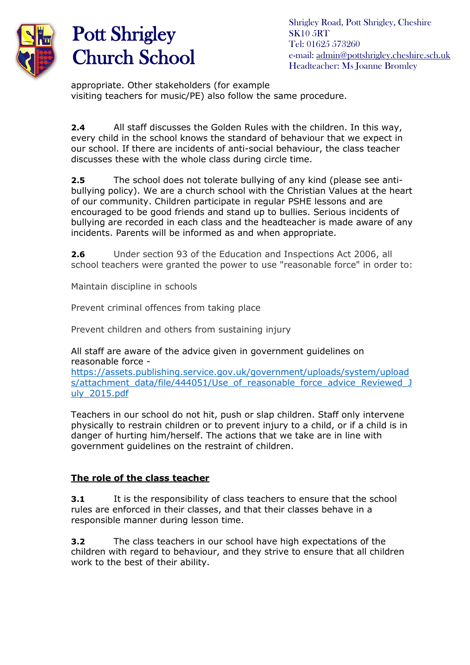

Shrigley Road, Pott Shrigley, Cheshire SK10 5RT Tel: 01625 573260 e-mail: [admin@pottshrigley.cheshire.sch.uk](mailto:admin@pottshrigley.cheshire.sch.uk) Headteacher: Ms Joanne Bromley

appropriate. Other stakeholders (for example visiting teachers for music/PE) also follow the same procedure.

**2.4** All staff discusses the Golden Rules with the children. In this way, every child in the school knows the standard of behaviour that we expect in our school. If there are incidents of anti-social behaviour, the class teacher discusses these with the whole class during circle time.

**2.5** The school does not tolerate bullying of any kind (please see antibullying policy). We are a church school with the Christian Values at the heart of our community. Children participate in regular PSHE lessons and are encouraged to be good friends and stand up to bullies. Serious incidents of bullying are recorded in each class and the headteacher is made aware of any incidents. Parents will be informed as and when appropriate.

**2.6** Under section 93 of the Education and Inspections Act 2006, all school teachers were granted the power to use "reasonable force" in order to:

Maintain discipline in schools

Prevent criminal offences from taking place

Prevent children and others from sustaining injury

All staff are aware of the advice given in government guidelines on reasonable force -

[https://assets.publishing.service.gov.uk/government/uploads/system/upload](https://assets.publishing.service.gov.uk/government/uploads/system/uploads/attachment_data/file/444051/Use_of_reasonable_force_advice_Reviewed_July_2015.pdf) [s/attachment\\_data/file/444051/Use\\_of\\_reasonable\\_force\\_advice\\_Reviewed\\_J](https://assets.publishing.service.gov.uk/government/uploads/system/uploads/attachment_data/file/444051/Use_of_reasonable_force_advice_Reviewed_July_2015.pdf) [uly\\_2015.pdf](https://assets.publishing.service.gov.uk/government/uploads/system/uploads/attachment_data/file/444051/Use_of_reasonable_force_advice_Reviewed_July_2015.pdf)

Teachers in our school do not hit, push or slap children. Staff only intervene physically to restrain children or to prevent injury to a child, or if a child is in danger of hurting him/herself. The actions that we take are in line with government guidelines on the restraint of children.

#### **The role of the class teacher**

**3.1** It is the responsibility of class teachers to ensure that the school rules are enforced in their classes, and that their classes behave in a responsible manner during lesson time.

**3.2** The class teachers in our school have high expectations of the children with regard to behaviour, and they strive to ensure that all children work to the best of their ability.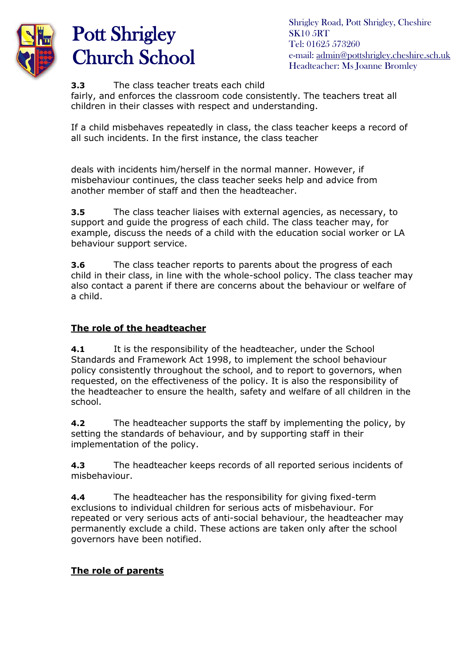

Shrigley Road, Pott Shrigley, Cheshire SK10 5RT Tel: 01625 573260 e-mail: [admin@pottshrigley.cheshire.sch.uk](mailto:admin@pottshrigley.cheshire.sch.uk) Headteacher: Ms Joanne Bromley

**3.3** The class teacher treats each child

fairly, and enforces the classroom code consistently. The teachers treat all children in their classes with respect and understanding.

If a child misbehaves repeatedly in class, the class teacher keeps a record of all such incidents. In the first instance, the class teacher

deals with incidents him/herself in the normal manner. However, if misbehaviour continues, the class teacher seeks help and advice from another member of staff and then the headteacher.

**3.5** The class teacher liaises with external agencies, as necessary, to support and guide the progress of each child. The class teacher may, for example, discuss the needs of a child with the education social worker or LA behaviour support service.

**3.6** The class teacher reports to parents about the progress of each child in their class, in line with the whole-school policy. The class teacher may also contact a parent if there are concerns about the behaviour or welfare of a child.

## **The role of the headteacher**

**4.1** It is the responsibility of the headteacher, under the School Standards and Framework Act 1998, to implement the school behaviour policy consistently throughout the school, and to report to governors, when requested, on the effectiveness of the policy. It is also the responsibility of the headteacher to ensure the health, safety and welfare of all children in the school.

**4.2** The headteacher supports the staff by implementing the policy, by setting the standards of behaviour, and by supporting staff in their implementation of the policy.

**4.3** The headteacher keeps records of all reported serious incidents of misbehaviour.

**4.4** The headteacher has the responsibility for giving fixed-term exclusions to individual children for serious acts of misbehaviour. For repeated or very serious acts of anti-social behaviour, the headteacher may permanently exclude a child. These actions are taken only after the school governors have been notified.

## **The role of parents**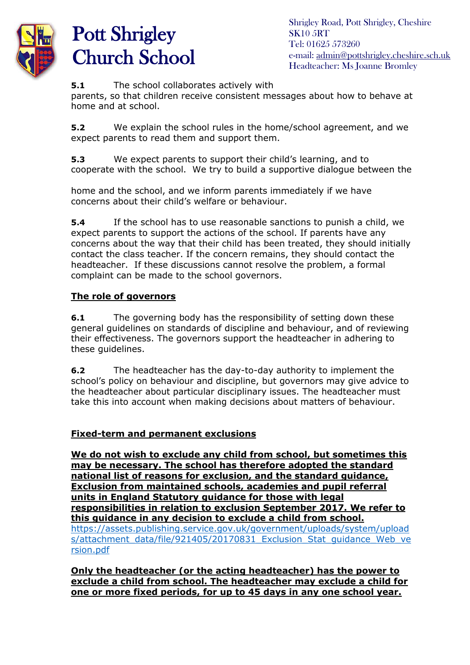

Shrigley Road, Pott Shrigley, Cheshire SK10 5RT Tel: 01625 573260 e-mail: [admin@pottshrigley.cheshire.sch.uk](mailto:admin@pottshrigley.cheshire.sch.uk) Headteacher: Ms Joanne Bromley

#### **5.1** The school collaborates actively with

parents, so that children receive consistent messages about how to behave at home and at school.

**5.2** We explain the school rules in the home/school agreement, and we expect parents to read them and support them.

**5.3** We expect parents to support their child's learning, and to cooperate with the school. We try to build a supportive dialogue between the

home and the school, and we inform parents immediately if we have concerns about their child's welfare or behaviour.

**5.4** If the school has to use reasonable sanctions to punish a child, we expect parents to support the actions of the school. If parents have any concerns about the way that their child has been treated, they should initially contact the class teacher. If the concern remains, they should contact the headteacher. If these discussions cannot resolve the problem, a formal complaint can be made to the school governors.

### **The role of governors**

**6.1** The governing body has the responsibility of setting down these general guidelines on standards of discipline and behaviour, and of reviewing their effectiveness. The governors support the headteacher in adhering to these guidelines.

**6.2** The headteacher has the day-to-day authority to implement the school's policy on behaviour and discipline, but governors may give advice to the headteacher about particular disciplinary issues. The headteacher must take this into account when making decisions about matters of behaviour.

#### **Fixed-term and permanent exclusions**

**We do not wish to exclude any child from school, but sometimes this may be necessary. The school has therefore adopted the standard national list of reasons for exclusion, and the standard guidance, Exclusion from maintained schools, academies and pupil referral units in England Statutory guidance for those with legal responsibilities in relation to exclusion September 2017. We refer to this guidance in any decision to exclude a child from school.**

[https://assets.publishing.service.gov.uk/government/uploads/system/upload](https://assets.publishing.service.gov.uk/government/uploads/system/uploads/attachment_data/file/921405/20170831_Exclusion_Stat_guidance_Web_version.pdf) [s/attachment\\_data/file/921405/20170831\\_Exclusion\\_Stat\\_guidance\\_Web\\_ve](https://assets.publishing.service.gov.uk/government/uploads/system/uploads/attachment_data/file/921405/20170831_Exclusion_Stat_guidance_Web_version.pdf) [rsion.pdf](https://assets.publishing.service.gov.uk/government/uploads/system/uploads/attachment_data/file/921405/20170831_Exclusion_Stat_guidance_Web_version.pdf)

**Only the headteacher (or the acting headteacher) has the power to exclude a child from school. The headteacher may exclude a child for one or more fixed periods, for up to 45 days in any one school year.**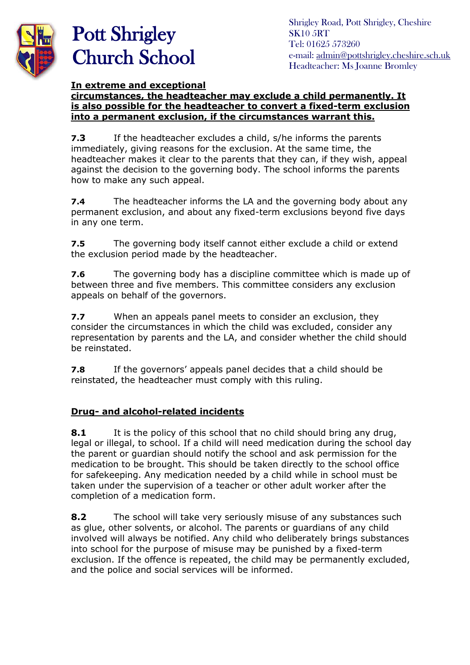

Shrigley Road, Pott Shrigley, Cheshire SK10 5RT Tel: 01625 573260 e-mail: [admin@pottshrigley.cheshire.sch.uk](mailto:admin@pottshrigley.cheshire.sch.uk) Headteacher: Ms Joanne Bromley

### **In extreme and exceptional**

**circumstances, the headteacher may exclude a child permanently. It is also possible for the headteacher to convert a fixed-term exclusion into a permanent exclusion, if the circumstances warrant this.**

**7.3** If the headteacher excludes a child, s/he informs the parents immediately, giving reasons for the exclusion. At the same time, the headteacher makes it clear to the parents that they can, if they wish, appeal against the decision to the governing body. The school informs the parents how to make any such appeal.

**7.4** The headteacher informs the LA and the governing body about any permanent exclusion, and about any fixed-term exclusions beyond five days in any one term.

**7.5** The governing body itself cannot either exclude a child or extend the exclusion period made by the headteacher.

**7.6** The governing body has a discipline committee which is made up of between three and five members. This committee considers any exclusion appeals on behalf of the governors.

**7.7** When an appeals panel meets to consider an exclusion, they consider the circumstances in which the child was excluded, consider any representation by parents and the LA, and consider whether the child should be reinstated.

**7.8** If the governors' appeals panel decides that a child should be reinstated, the headteacher must comply with this ruling.

## **Drug- and alcohol-related incidents**

**8.1** It is the policy of this school that no child should bring any drug, legal or illegal, to school. If a child will need medication during the school day the parent or guardian should notify the school and ask permission for the medication to be brought. This should be taken directly to the school office for safekeeping. Any medication needed by a child while in school must be taken under the supervision of a teacher or other adult worker after the completion of a medication form.

**8.2** The school will take very seriously misuse of any substances such as glue, other solvents, or alcohol. The parents or guardians of any child involved will always be notified. Any child who deliberately brings substances into school for the purpose of misuse may be punished by a fixed-term exclusion. If the offence is repeated, the child may be permanently excluded, and the police and social services will be informed.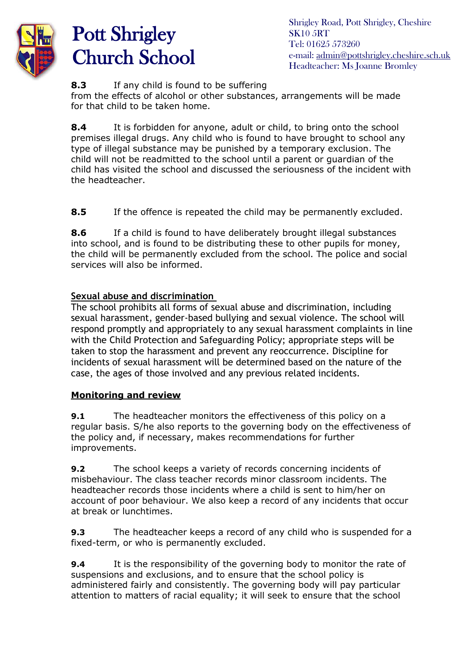

Shrigley Road, Pott Shrigley, Cheshire SK10 5RT Tel: 01625 573260 e-mail: [admin@pottshrigley.cheshire.sch.uk](mailto:admin@pottshrigley.cheshire.sch.uk) Headteacher: Ms Joanne Bromley

### **8.3** If any child is found to be suffering

from the effects of alcohol or other substances, arrangements will be made for that child to be taken home.

**8.4** It is forbidden for anyone, adult or child, to bring onto the school premises illegal drugs. Any child who is found to have brought to school any type of illegal substance may be punished by a temporary exclusion. The child will not be readmitted to the school until a parent or guardian of the child has visited the school and discussed the seriousness of the incident with the headteacher.

**8.5** If the offence is repeated the child may be permanently excluded.

**8.6** If a child is found to have deliberately brought illegal substances into school, and is found to be distributing these to other pupils for money, the child will be permanently excluded from the school. The police and social services will also be informed.

## **Sexual abuse and discrimination**

The school prohibits all forms of sexual abuse and discrimination, including sexual harassment, gender-based bullying and sexual violence. The school will respond promptly and appropriately to any sexual harassment complaints in line with the Child Protection and Safeguarding Policy; appropriate steps will be taken to stop the harassment and prevent any reoccurrence. Discipline for incidents of sexual harassment will be determined based on the nature of the case, the ages of those involved and any previous related incidents.

## **Monitoring and review**

**9.1** The headteacher monitors the effectiveness of this policy on a regular basis. S/he also reports to the governing body on the effectiveness of the policy and, if necessary, makes recommendations for further improvements.

**9.2** The school keeps a variety of records concerning incidents of misbehaviour. The class teacher records minor classroom incidents. The headteacher records those incidents where a child is sent to him/her on account of poor behaviour. We also keep a record of any incidents that occur at break or lunchtimes.

**9.3** The headteacher keeps a record of any child who is suspended for a fixed-term, or who is permanently excluded.

**9.4** It is the responsibility of the governing body to monitor the rate of suspensions and exclusions, and to ensure that the school policy is administered fairly and consistently. The governing body will pay particular attention to matters of racial equality; it will seek to ensure that the school